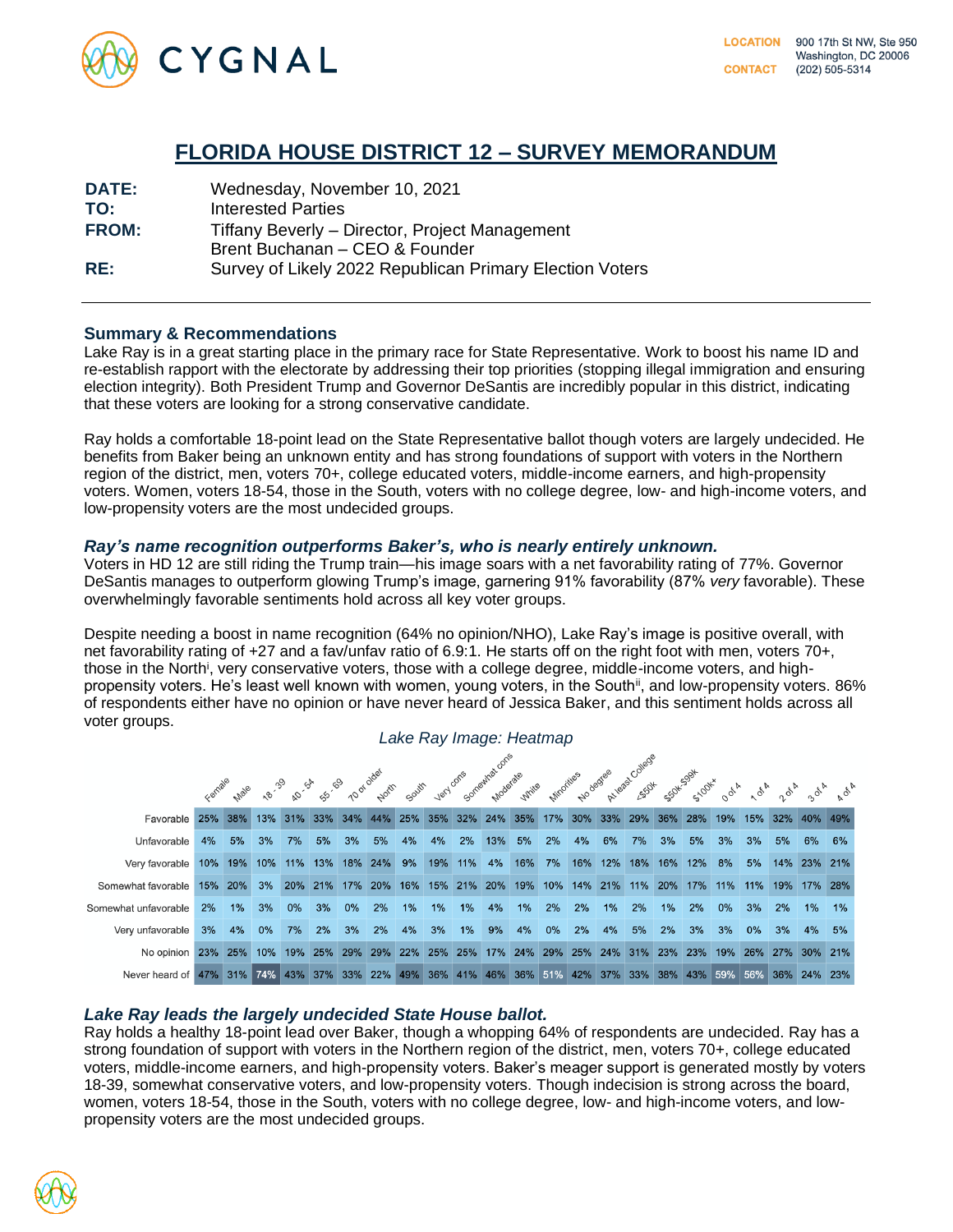

# **FLORIDA HOUSE DISTRICT 12 – SURVEY MEMORANDUM**

| <b>DATE:</b> | Wednesday, November 10, 2021                             |
|--------------|----------------------------------------------------------|
| TO:          | Interested Parties                                       |
| <b>FROM:</b> | Tiffany Beverly – Director, Project Management           |
|              | Brent Buchanan - CEO & Founder                           |
| RE:          | Survey of Likely 2022 Republican Primary Election Voters |

## **Summary & Recommendations**

Lake Ray is in a great starting place in the primary race for State Representative. Work to boost his name ID and re-establish rapport with the electorate by addressing their top priorities (stopping illegal immigration and ensuring election integrity). Both President Trump and Governor DeSantis are incredibly popular in this district, indicating that these voters are looking for a strong conservative candidate.

Ray holds a comfortable 18-point lead on the State Representative ballot though voters are largely undecided. He benefits from Baker being an unknown entity and has strong foundations of support with voters in the Northern region of the district, men, voters 70+, college educated voters, middle-income earners, and high-propensity voters. Women, voters 18-54, those in the South, voters with no college degree, low- and high-income voters, and low-propensity voters are the most undecided groups.

#### *Ray's name recognition outperforms Baker's, who is nearly entirely unknown.*

Voters in HD 12 are still riding the Trump train—his image soars with a net favorability rating of 77%. Governor DeSantis manages to outperform glowing Trump's image, garnering 91% favorability (87% *very* favorable). These overwhelmingly favorable sentiments hold across all key voter groups.

Despite needing a boost in name recognition (64% no opinion/NHO), Lake Ray's image is positive overall, with net favorability rating of +27 and a fav/unfav ratio of 6.9:1. He starts off on the right foot with men, voters 70+, those in the North<sup>i</sup>, very conservative voters, those with a college degree, middle-income voters, and highpropensity voters. He's least well known with women, young voters, in the South<sup>ii</sup>, and low-propensity voters. 86% of respondents either have no opinion or have never heard of Jessica Baker, and this sentiment holds across all voter groups.



# *Lake Ray leads the largely undecided State House ballot.*

Ray holds a healthy 18-point lead over Baker, though a whopping 64% of respondents are undecided. Ray has a strong foundation of support with voters in the Northern region of the district, men, voters 70+, college educated voters, middle-income earners, and high-propensity voters. Baker's meager support is generated mostly by voters 18-39, somewhat conservative voters, and low-propensity voters. Though indecision is strong across the board, women, voters 18-54, those in the South, voters with no college degree, low- and high-income voters, and lowpropensity voters are the most undecided groups.